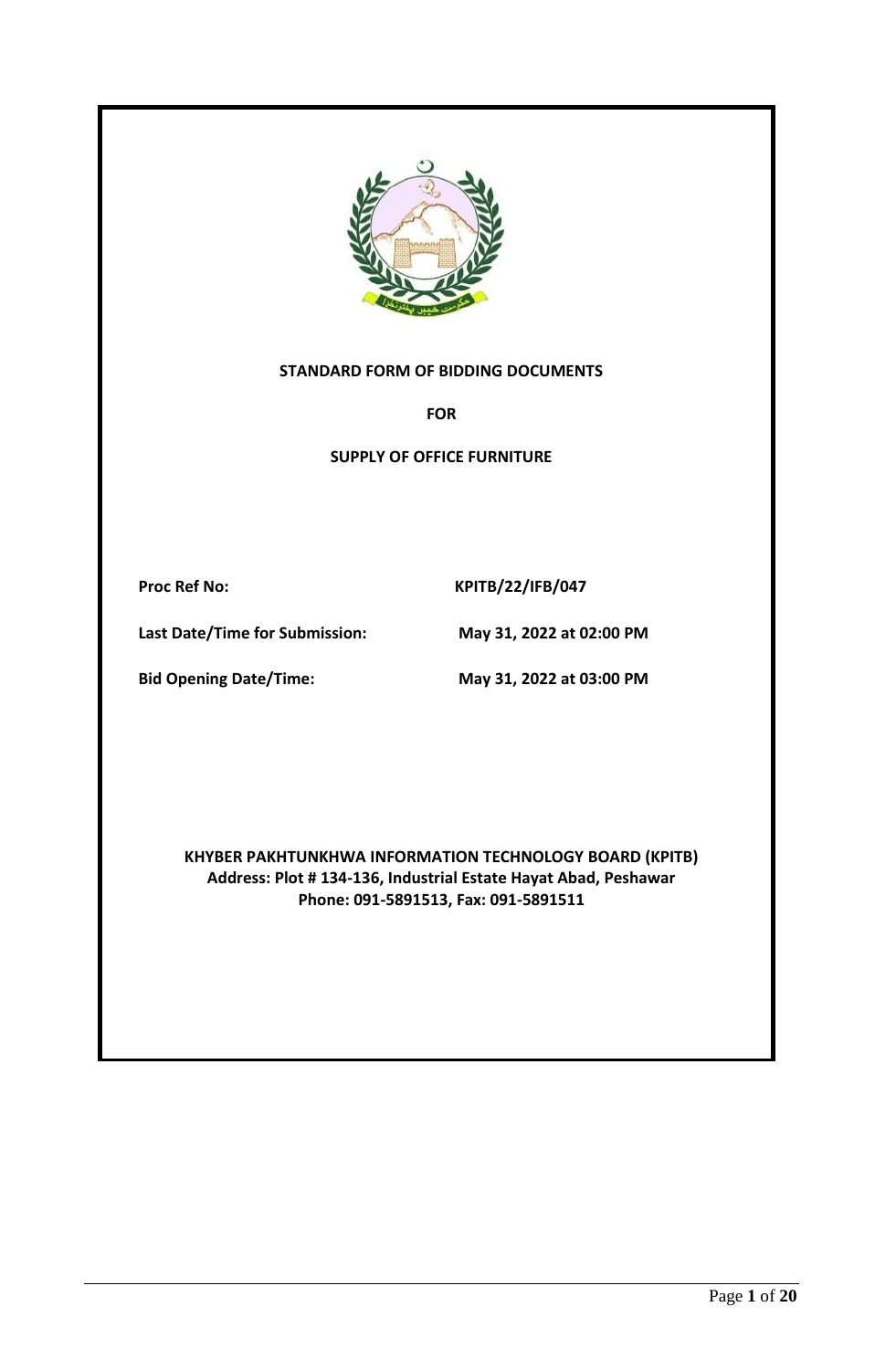

#### **STANDARD FORM OF BIDDING DOCUMENTS**

**FOR**

**SUPPLY OF OFFICE FURNITURE**

Proc Ref No: KPITB/22/IFB/047

**Last Date/Time for Submission: May 31, 2022 at 02:00 PM**

**Bid Opening Date/Time: May 31, 2022 at 03:00 PM**

**KHYBER PAKHTUNKHWA INFORMATION TECHNOLOGY BOARD (KPITB) Address: Plot # 134-136, Industrial Estate Hayat Abad, Peshawar Phone: 091-5891513, Fax: 091-5891511**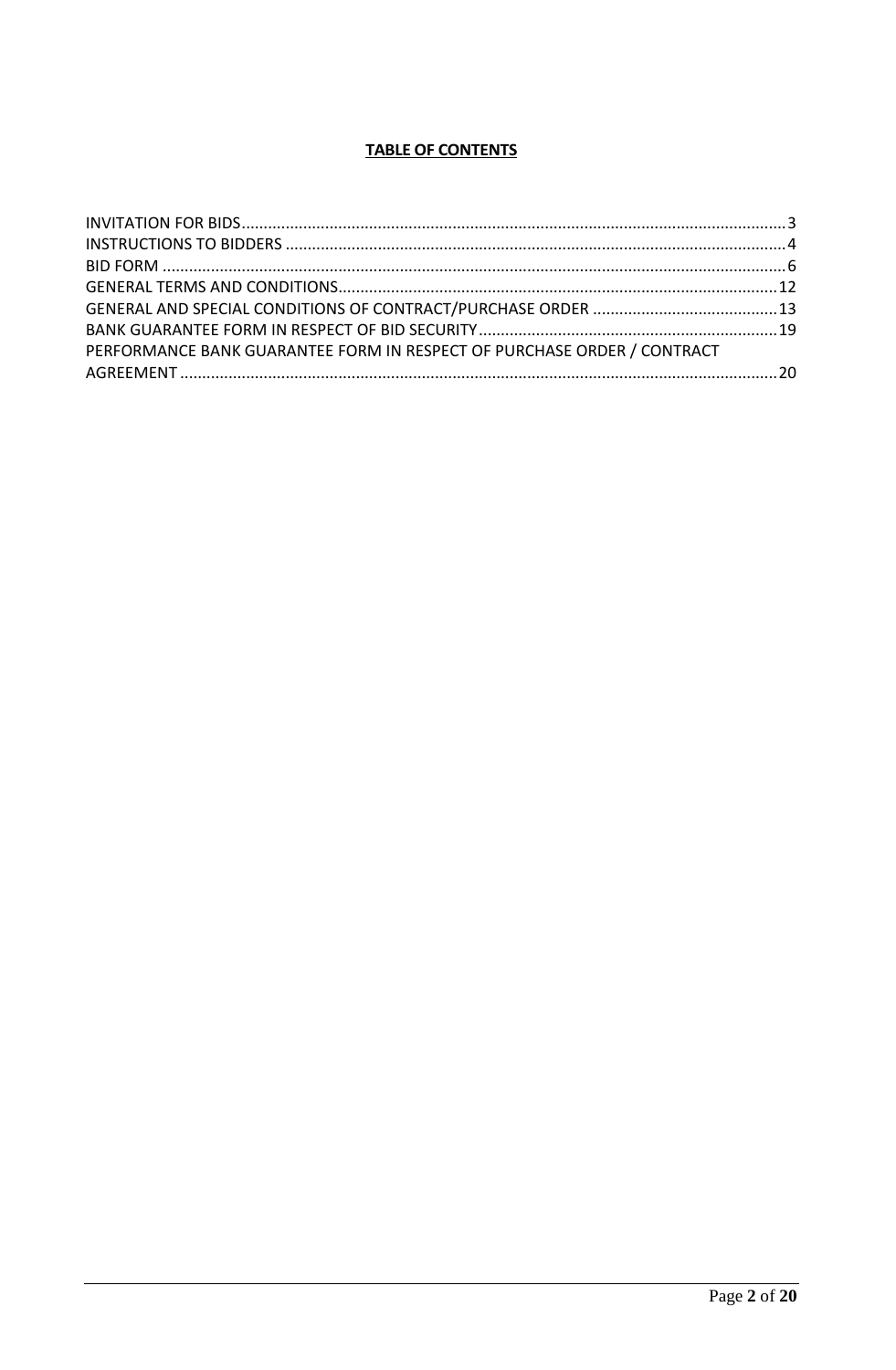# **TABLE OF CONTENTS**

| PERFORMANCE BANK GUARANTEE FORM IN RESPECT OF PURCHASE ORDER / CONTRACT |  |
|-------------------------------------------------------------------------|--|
|                                                                         |  |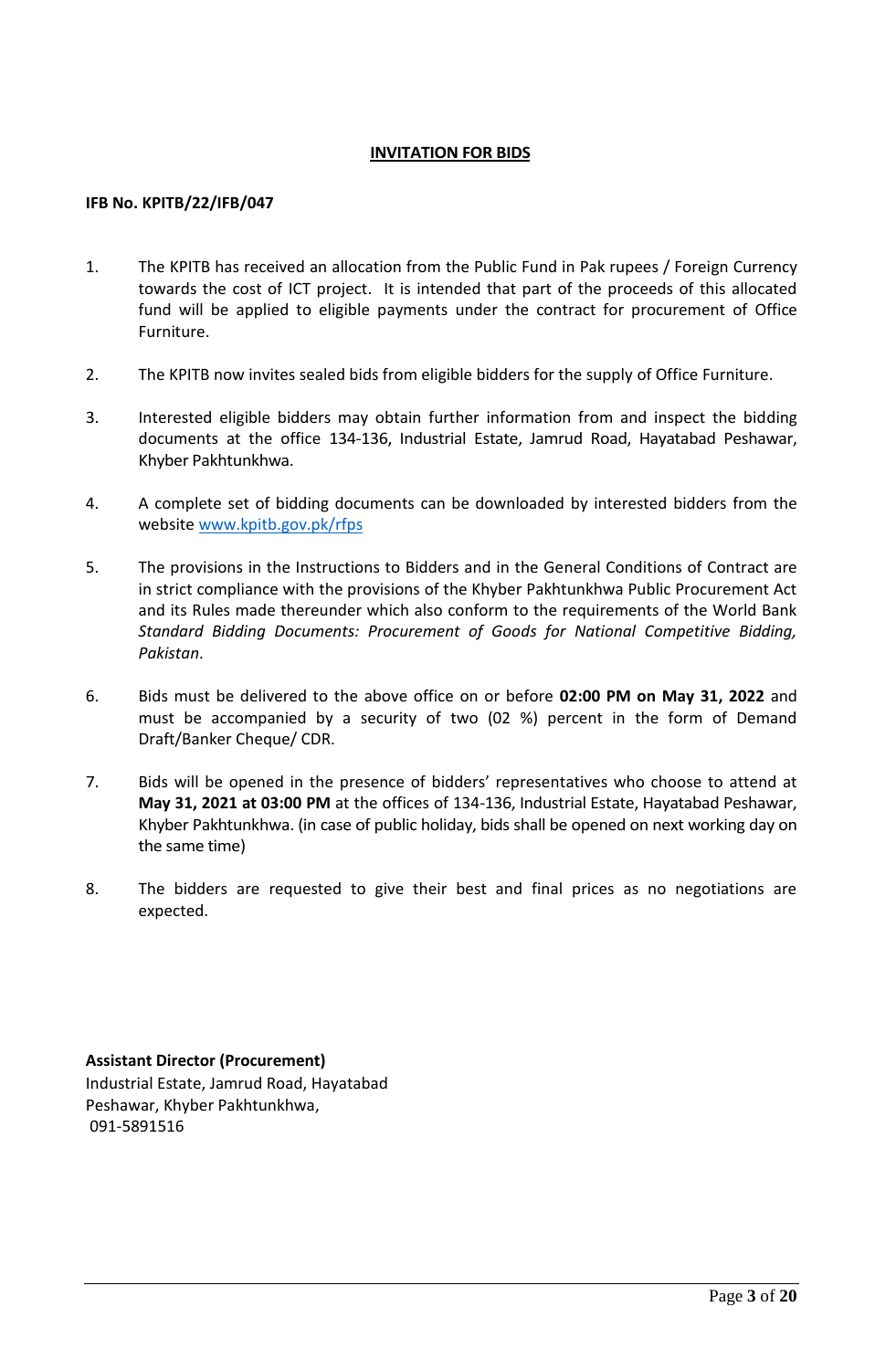#### **INVITATION FOR BIDS**

#### <span id="page-2-0"></span>**IFB No. KPITB/22/IFB/047**

- 1. The KPITB has received an allocation from the Public Fund in Pak rupees / Foreign Currency towards the cost of ICT project. It is intended that part of the proceeds of this allocated fund will be applied to eligible payments under the contract for procurement of Office Furniture.
- 2. The KPITB now invites sealed bids from eligible bidders for the supply of Office Furniture.
- 3. Interested eligible bidders may obtain further information from and inspect the bidding documents at the office 134-136, Industrial Estate, Jamrud Road, Hayatabad Peshawar, Khyber Pakhtunkhwa.
- 4. A complete set of bidding documents can be downloaded by interested bidders from the website [www.kpitb.gov.pk/rfps](http://www.kpitb.gov.pk/rfps)
- 5. The provisions in the Instructions to Bidders and in the General Conditions of Contract are in strict compliance with the provisions of the Khyber Pakhtunkhwa Public Procurement Act and its Rules made thereunder which also conform to the requirements of the World Bank *Standard Bidding Documents: Procurement of Goods for National Competitive Bidding, Pakistan*.
- 6. Bids must be delivered to the above office on or before **02:00 PM on May 31, 2022** and must be accompanied by a security of two (02 %) percent in the form of Demand Draft/Banker Cheque/ CDR.
- 7. Bids will be opened in the presence of bidders' representatives who choose to attend at **May 31, 2021 at 03:00 PM** at the offices of 134-136, Industrial Estate, Hayatabad Peshawar, Khyber Pakhtunkhwa. (in case of public holiday, bids shall be opened on next working day on the same time)
- 8. The bidders are requested to give their best and final prices as no negotiations are expected.

**Assistant Director (Procurement)** Industrial Estate, Jamrud Road, Hayatabad Peshawar, Khyber Pakhtunkhwa, 091-5891516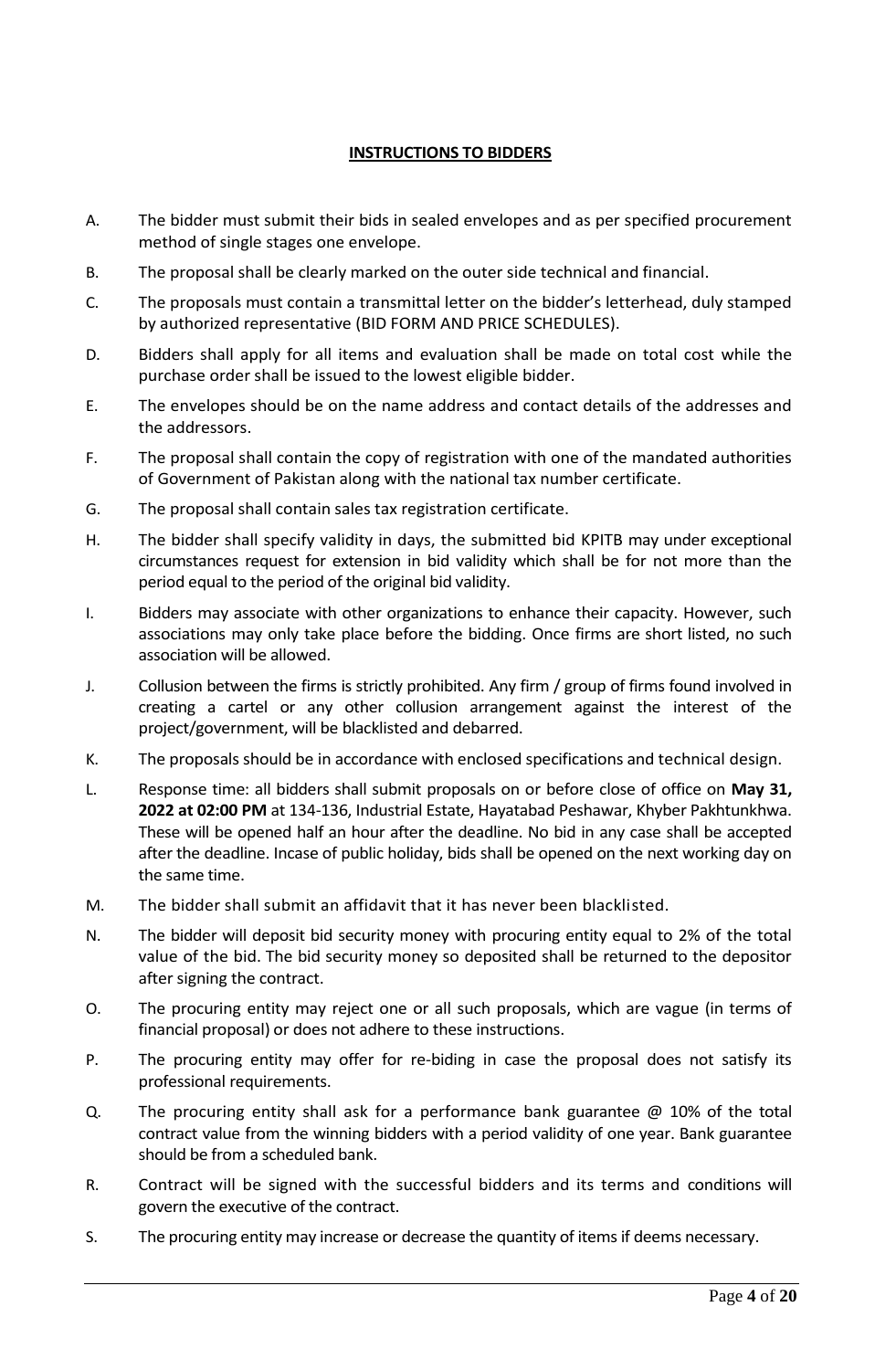# **INSTRUCTIONS TO BIDDERS**

- <span id="page-3-0"></span>A. The bidder must submit their bids in sealed envelopes and as per specified procurement method of single stages one envelope.
- B. The proposal shall be clearly marked on the outer side technical and financial.
- C. The proposals must contain a transmittal letter on the bidder's letterhead, duly stamped by authorized representative (BID FORM AND PRICE SCHEDULES).
- D. Bidders shall apply for all items and evaluation shall be made on total cost while the purchase order shall be issued to the lowest eligible bidder.
- E. The envelopes should be on the name address and contact details of the addresses and the addressors.
- F. The proposal shall contain the copy of registration with one of the mandated authorities of Government of Pakistan along with the national tax number certificate.
- G. The proposal shall contain sales tax registration certificate.
- H. The bidder shall specify validity in days, the submitted bid KPITB may under exceptional circumstances request for extension in bid validity which shall be for not more than the period equal to the period of the original bid validity.
- I. Bidders may associate with other organizations to enhance their capacity. However, such associations may only take place before the bidding. Once firms are short listed, no such association will be allowed.
- J. Collusion between the firms is strictly prohibited. Any firm / group of firms found involved in creating a cartel or any other collusion arrangement against the interest of the project/government, will be blacklisted and debarred.
- K. The proposals should be in accordance with enclosed specifications and technical design.
- L. Response time: all bidders shall submit proposals on or before close of office on **May 31, 2022 at 02:00 PM** at 134-136, Industrial Estate, Hayatabad Peshawar, Khyber Pakhtunkhwa. These will be opened half an hour after the deadline. No bid in any case shall be accepted after the deadline. Incase of public holiday, bids shall be opened on the next working day on the same time.
- M. The bidder shall submit an affidavit that it has never been blacklisted.
- N. The bidder will deposit bid security money with procuring entity equal to 2% of the total value of the bid. The bid security money so deposited shall be returned to the depositor after signing the contract.
- O. The procuring entity may reject one or all such proposals, which are vague (in terms of financial proposal) or does not adhere to these instructions.
- P. The procuring entity may offer for re-biding in case the proposal does not satisfy its professional requirements.
- Q. The procuring entity shall ask for a performance bank guarantee @ 10% of the total contract value from the winning bidders with a period validity of one year. Bank guarantee should be from a scheduled bank.
- R. Contract will be signed with the successful bidders and its terms and conditions will govern the executive of the contract.
- S. The procuring entity may increase or decrease the quantity of items if deems necessary.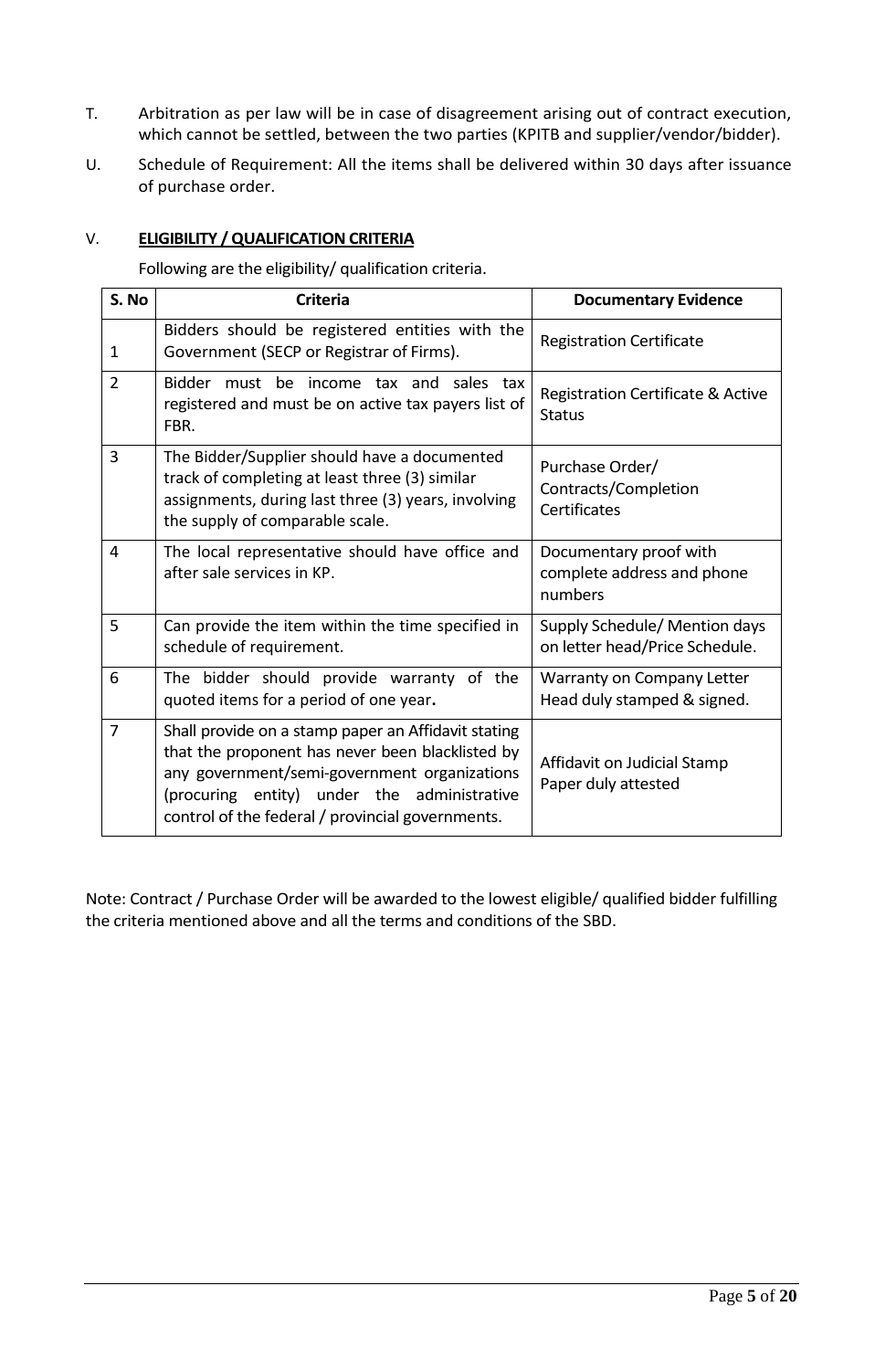- T. Arbitration as per law will be in case of disagreement arising out of contract execution, which cannot be settled, between the two parties (KPITB and supplier/vendor/bidder).
- U. Schedule of Requirement: All the items shall be delivered within 30 days after issuance of purchase order.

#### V. **ELIGIBILITY / QUALIFICATION CRITERIA**

Following are the eligibility/ qualification criteria.

| S. No          | <b>Criteria</b>                                                                                                                                                                                                                                            | <b>Documentary Evidence</b>                                     |
|----------------|------------------------------------------------------------------------------------------------------------------------------------------------------------------------------------------------------------------------------------------------------------|-----------------------------------------------------------------|
| 1              | Bidders should be registered entities with the<br>Government (SECP or Registrar of Firms).                                                                                                                                                                 | <b>Registration Certificate</b>                                 |
| $\overline{2}$ | Bidder must be income tax and sales tax<br>registered and must be on active tax payers list of<br>FBR.                                                                                                                                                     | Registration Certificate & Active<br><b>Status</b>              |
| 3              | The Bidder/Supplier should have a documented<br>track of completing at least three (3) similar<br>assignments, during last three (3) years, involving<br>the supply of comparable scale.                                                                   | Purchase Order/<br>Contracts/Completion<br>Certificates         |
| 4              | The local representative should have office and<br>after sale services in KP.                                                                                                                                                                              | Documentary proof with<br>complete address and phone<br>numbers |
| 5              | Can provide the item within the time specified in<br>schedule of requirement.                                                                                                                                                                              | Supply Schedule/ Mention days<br>on letter head/Price Schedule. |
| 6              | The bidder should provide warranty of the<br>quoted items for a period of one year.                                                                                                                                                                        | Warranty on Company Letter<br>Head duly stamped & signed.       |
| $\overline{7}$ | Shall provide on a stamp paper an Affidavit stating<br>that the proponent has never been blacklisted by<br>any government/semi-government organizations<br>(procuring entity) under the administrative<br>control of the federal / provincial governments. | Affidavit on Judicial Stamp<br>Paper duly attested              |

Note: Contract / Purchase Order will be awarded to the lowest eligible/ qualified bidder fulfilling the criteria mentioned above and all the terms and conditions of the SBD.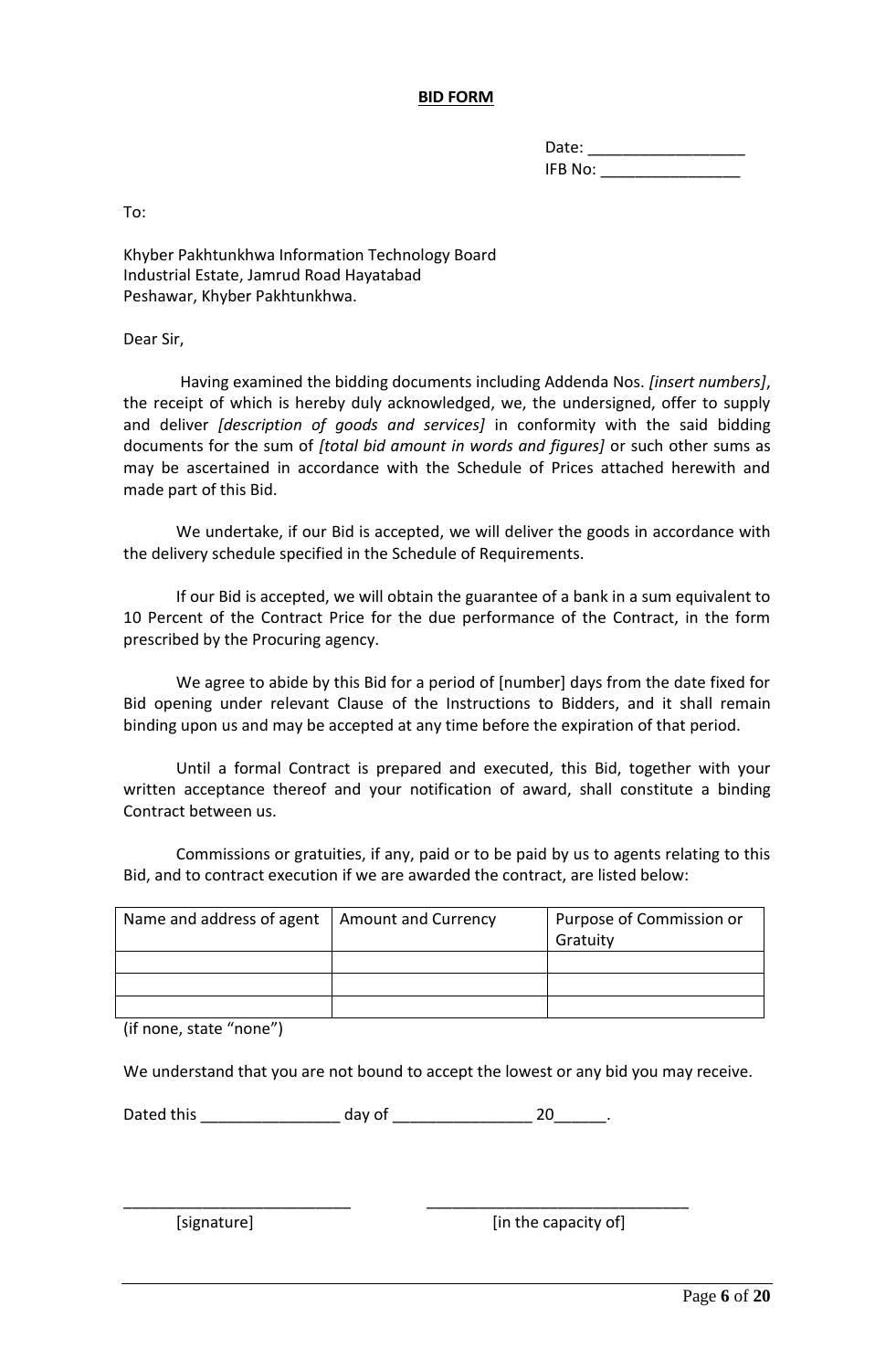#### **BID FORM**

| Date:   |  |
|---------|--|
| IFB No: |  |

<span id="page-5-0"></span>To:

Khyber Pakhtunkhwa Information Technology Board Industrial Estate, Jamrud Road Hayatabad Peshawar, Khyber Pakhtunkhwa.

Dear Sir,

 Having examined the bidding documents including Addenda Nos. *[insert numbers]*, the receipt of which is hereby duly acknowledged, we, the undersigned, offer to supply and deliver *[description of goods and services]* in conformity with the said bidding documents for the sum of *[total bid amount in words and figures]* or such other sums as may be ascertained in accordance with the Schedule of Prices attached herewith and made part of this Bid.

We undertake, if our Bid is accepted, we will deliver the goods in accordance with the delivery schedule specified in the Schedule of Requirements.

If our Bid is accepted, we will obtain the guarantee of a bank in a sum equivalent to 10 Percent of the Contract Price for the due performance of the Contract, in the form prescribed by the Procuring agency.

We agree to abide by this Bid for a period of [number] days from the date fixed for Bid opening under relevant Clause of the Instructions to Bidders, and it shall remain binding upon us and may be accepted at any time before the expiration of that period.

Until a formal Contract is prepared and executed, this Bid, together with your written acceptance thereof and your notification of award, shall constitute a binding Contract between us.

Commissions or gratuities, if any, paid or to be paid by us to agents relating to this Bid, and to contract execution if we are awarded the contract, are listed below:

| Name and address of agent   Amount and Currency | Purpose of Commission or<br>Gratuity |
|-------------------------------------------------|--------------------------------------|
|                                                 |                                      |
|                                                 |                                      |
|                                                 |                                      |

(if none, state "none")

We understand that you are not bound to accept the lowest or any bid you may receive.

Dated this \_\_\_\_\_\_\_\_\_\_\_\_\_\_\_\_\_\_\_\_\_ day of \_\_\_\_\_\_\_\_\_\_\_\_\_\_\_\_\_\_\_\_\_\_\_ 20\_\_\_\_\_\_\_\_.

\_\_\_\_\_\_\_\_\_\_\_\_\_\_\_\_\_\_\_\_\_\_\_\_\_\_ \_\_\_\_\_\_\_\_\_\_\_\_\_\_\_\_\_\_\_\_\_\_\_\_\_\_\_\_\_\_

[signature] [in the capacity of]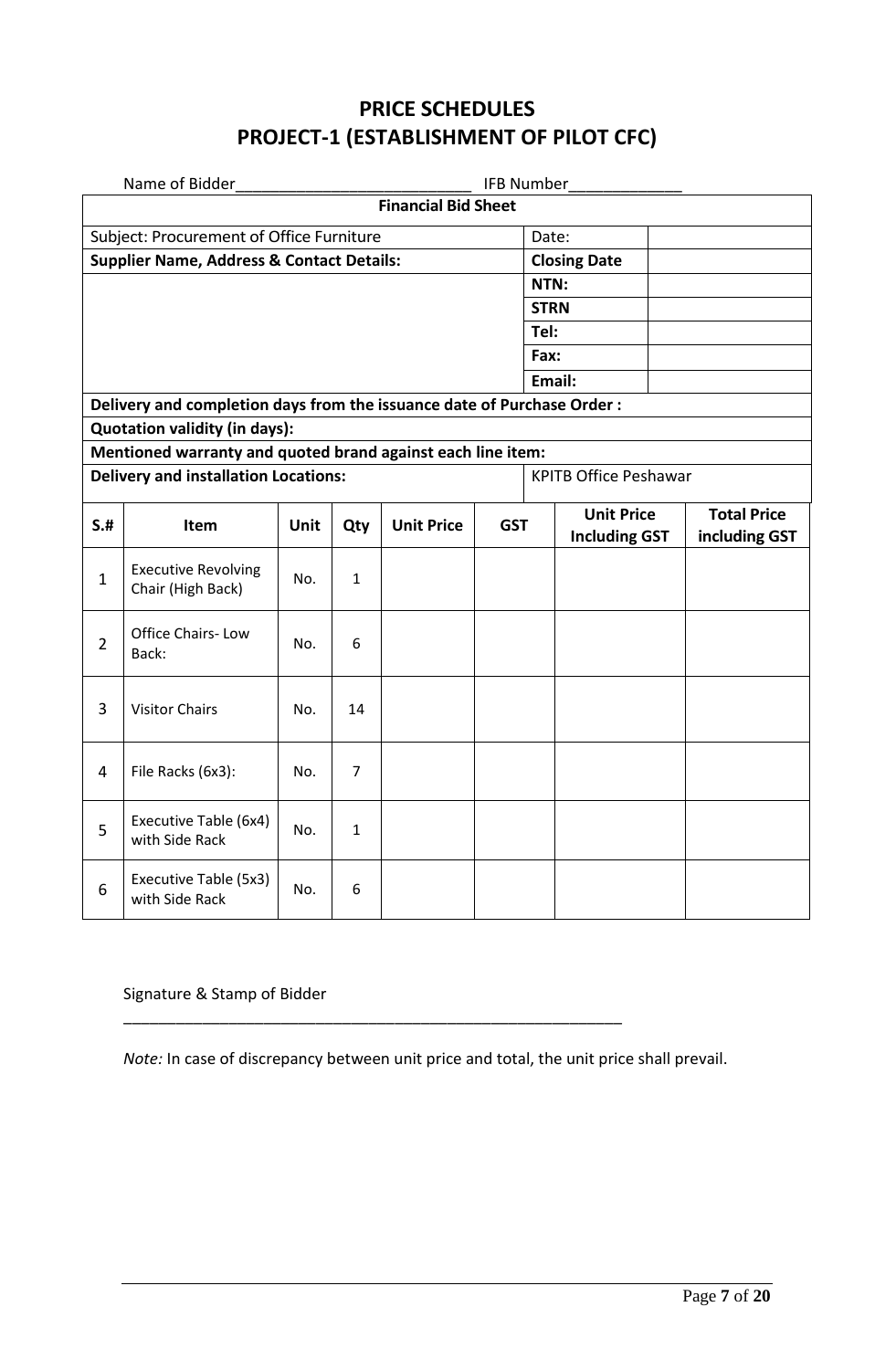# **PRICE SCHEDULES PROJECT-1 (ESTABLISHMENT OF PILOT CFC)**

|                                          | Name of Bidder<br><b>IFB Number</b>                                    |      |                |                   |            |             |                                           |                                     |
|------------------------------------------|------------------------------------------------------------------------|------|----------------|-------------------|------------|-------------|-------------------------------------------|-------------------------------------|
|                                          | <b>Financial Bid Sheet</b>                                             |      |                |                   |            |             |                                           |                                     |
| Subject: Procurement of Office Furniture |                                                                        |      |                |                   |            | Date:       |                                           |                                     |
|                                          | <b>Supplier Name, Address &amp; Contact Details:</b>                   |      |                |                   |            |             | <b>Closing Date</b>                       |                                     |
|                                          |                                                                        |      |                |                   |            | NTN:        |                                           |                                     |
|                                          |                                                                        |      |                |                   |            | <b>STRN</b> |                                           |                                     |
|                                          |                                                                        |      |                |                   |            | Tel:        |                                           |                                     |
|                                          |                                                                        |      |                |                   |            | Fax:        |                                           |                                     |
|                                          |                                                                        |      |                |                   |            |             | Email:                                    |                                     |
|                                          | Delivery and completion days from the issuance date of Purchase Order: |      |                |                   |            |             |                                           |                                     |
|                                          | <b>Quotation validity (in days):</b>                                   |      |                |                   |            |             |                                           |                                     |
|                                          | Mentioned warranty and quoted brand against each line item:            |      |                |                   |            |             |                                           |                                     |
|                                          | <b>Delivery and installation Locations:</b>                            |      |                |                   |            |             | <b>KPITB Office Peshawar</b>              |                                     |
| S.H                                      | Item                                                                   | Unit | Qty            | <b>Unit Price</b> | <b>GST</b> |             | <b>Unit Price</b><br><b>Including GST</b> | <b>Total Price</b><br>including GST |
| $\mathbf{1}$                             | <b>Executive Revolving</b><br>Chair (High Back)                        | No.  | $\mathbf{1}$   |                   |            |             |                                           |                                     |
| $\overline{2}$                           | Office Chairs-Low<br>Back:                                             | No.  | 6              |                   |            |             |                                           |                                     |
| 3                                        | <b>Visitor Chairs</b>                                                  | No.  | 14             |                   |            |             |                                           |                                     |
| 4                                        | File Racks (6x3):                                                      | No.  | $\overline{7}$ |                   |            |             |                                           |                                     |
| 5                                        | Executive Table (6x4)<br>with Side Rack                                | No.  | 1              |                   |            |             |                                           |                                     |
| 6                                        | Executive Table (5x3)<br>with Side Rack                                | No.  | 6              |                   |            |             |                                           |                                     |

# Signature & Stamp of Bidder

*Note:* In case of discrepancy between unit price and total, the unit price shall prevail.

\_\_\_\_\_\_\_\_\_\_\_\_\_\_\_\_\_\_\_\_\_\_\_\_\_\_\_\_\_\_\_\_\_\_\_\_\_\_\_\_\_\_\_\_\_\_\_\_\_\_\_\_\_\_\_\_\_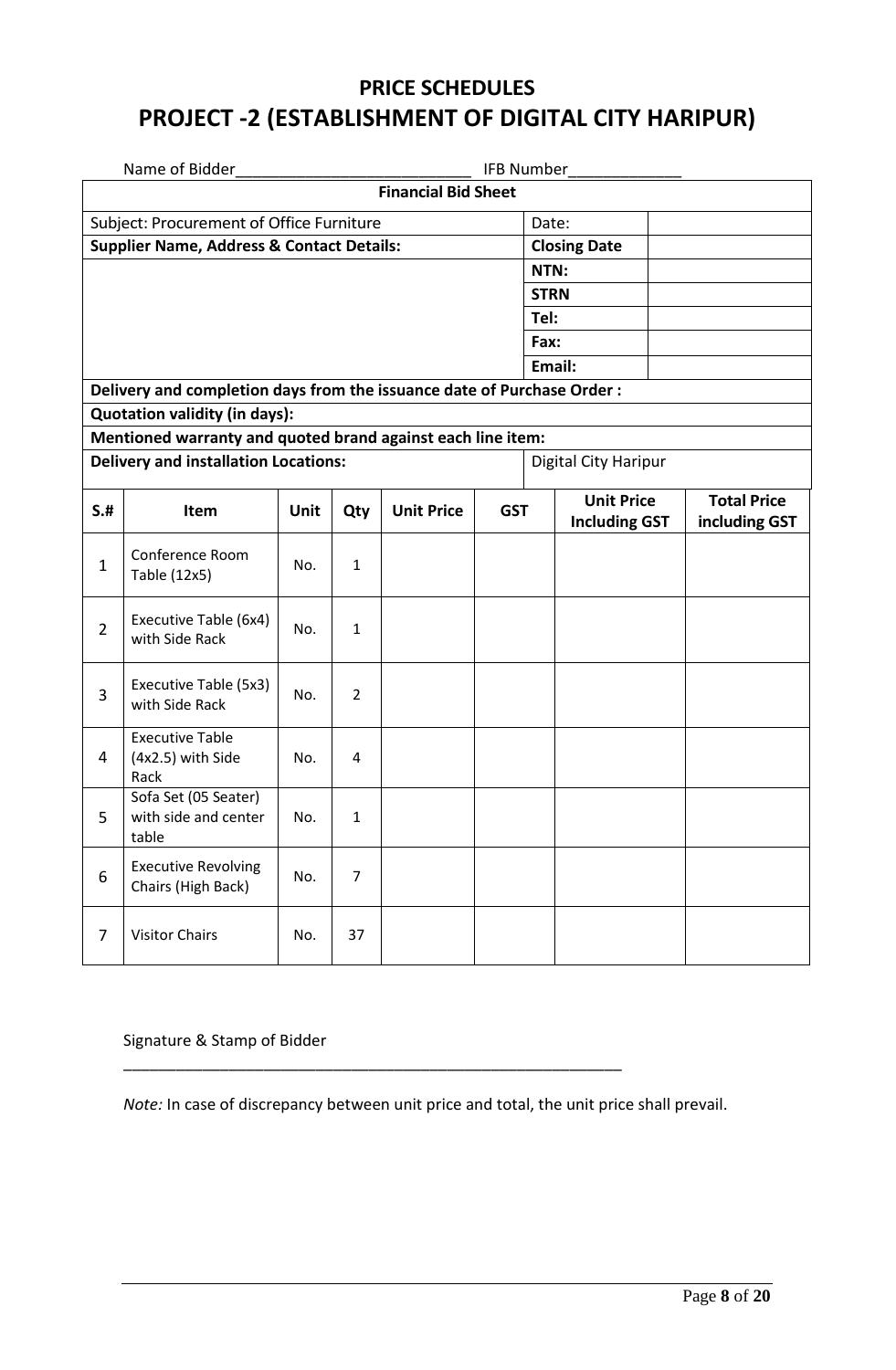# **PRICE SCHEDULES PROJECT -2 (ESTABLISHMENT OF DIGITAL CITY HARIPUR)**

|                                          | Name of Bidder<br><b>IFB Number</b>                                     |      |                |                   |            |             |                                           |  |                                     |
|------------------------------------------|-------------------------------------------------------------------------|------|----------------|-------------------|------------|-------------|-------------------------------------------|--|-------------------------------------|
|                                          | <b>Financial Bid Sheet</b>                                              |      |                |                   |            |             |                                           |  |                                     |
| Subject: Procurement of Office Furniture |                                                                         |      |                |                   |            |             | Date:                                     |  |                                     |
|                                          | <b>Supplier Name, Address &amp; Contact Details:</b>                    |      |                |                   |            |             | <b>Closing Date</b>                       |  |                                     |
|                                          |                                                                         |      |                |                   |            | NTN:        |                                           |  |                                     |
|                                          |                                                                         |      |                |                   |            | <b>STRN</b> |                                           |  |                                     |
|                                          |                                                                         |      |                |                   |            | Tel:        |                                           |  |                                     |
|                                          |                                                                         |      |                |                   |            | Fax:        |                                           |  |                                     |
|                                          |                                                                         |      |                |                   |            |             | Email:                                    |  |                                     |
|                                          | Delivery and completion days from the issuance date of Purchase Order : |      |                |                   |            |             |                                           |  |                                     |
|                                          | Quotation validity (in days):                                           |      |                |                   |            |             |                                           |  |                                     |
|                                          | Mentioned warranty and quoted brand against each line item:             |      |                |                   |            |             |                                           |  |                                     |
|                                          | <b>Delivery and installation Locations:</b>                             |      |                |                   |            |             | Digital City Haripur                      |  |                                     |
| S.H                                      | Item                                                                    | Unit | Qty            | <b>Unit Price</b> | <b>GST</b> |             | <b>Unit Price</b><br><b>Including GST</b> |  | <b>Total Price</b><br>including GST |
| $\mathbf{1}$                             | Conference Room<br>Table (12x5)                                         | No.  | $\mathbf{1}$   |                   |            |             |                                           |  |                                     |
| $\overline{2}$                           | Executive Table (6x4)<br>with Side Rack                                 | No.  | $\mathbf{1}$   |                   |            |             |                                           |  |                                     |
| 3                                        | Executive Table (5x3)<br>with Side Rack                                 | No.  | $\overline{2}$ |                   |            |             |                                           |  |                                     |
| 4                                        | <b>Executive Table</b><br>(4x2.5) with Side<br>Rack                     | No.  | 4              |                   |            |             |                                           |  |                                     |
| 5                                        | Sofa Set (05 Seater)<br>with side and center<br>table                   | No.  | $\mathbf{1}$   |                   |            |             |                                           |  |                                     |
| 6                                        | <b>Executive Revolving</b><br>Chairs (High Back)                        | No.  | $\overline{7}$ |                   |            |             |                                           |  |                                     |
| $\overline{7}$                           | <b>Visitor Chairs</b>                                                   | No.  | 37             |                   |            |             |                                           |  |                                     |

#### Signature & Stamp of Bidder

*Note:* In case of discrepancy between unit price and total, the unit price shall prevail.

\_\_\_\_\_\_\_\_\_\_\_\_\_\_\_\_\_\_\_\_\_\_\_\_\_\_\_\_\_\_\_\_\_\_\_\_\_\_\_\_\_\_\_\_\_\_\_\_\_\_\_\_\_\_\_\_\_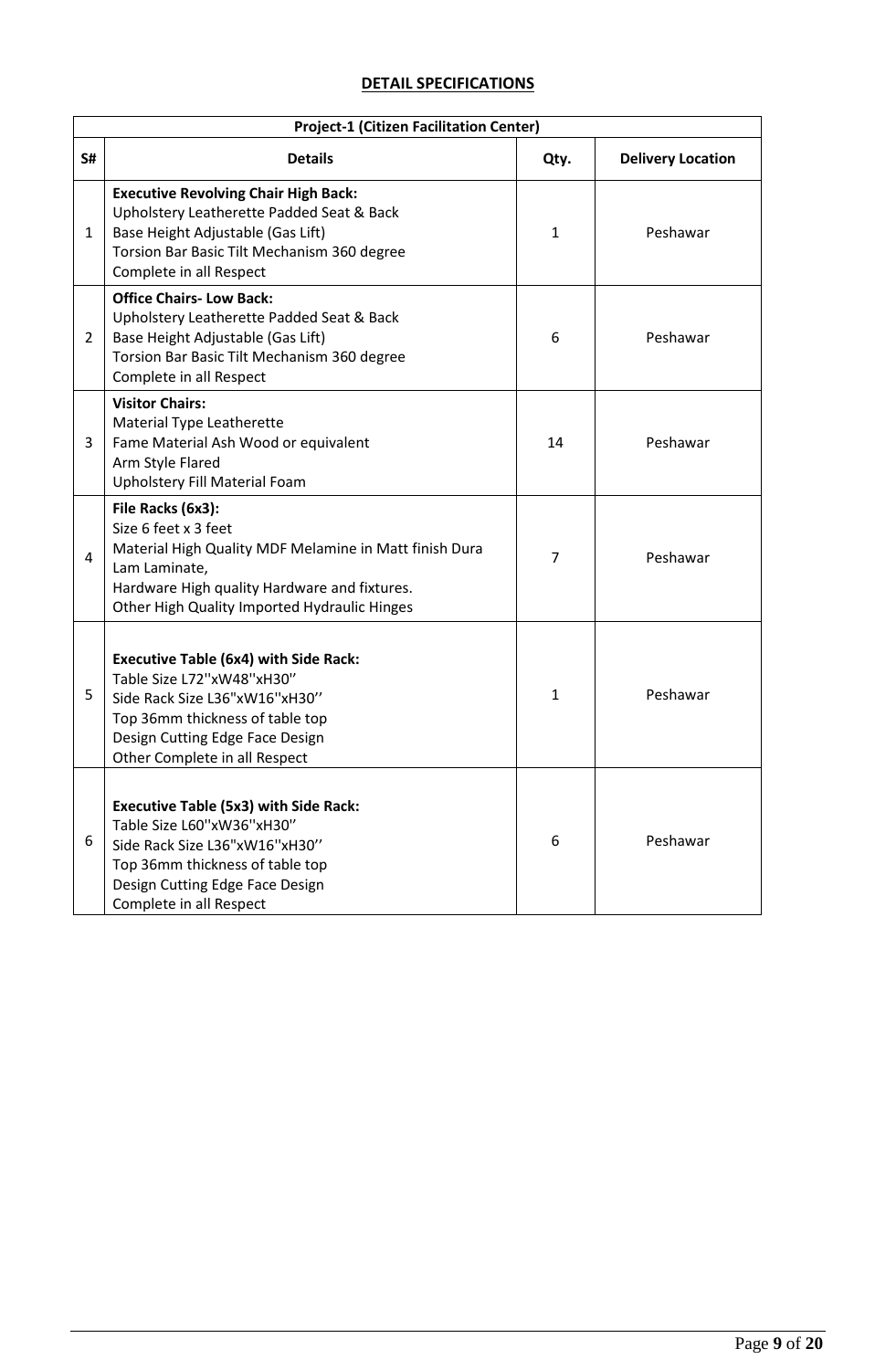# **DETAIL SPECIFICATIONS**

|                | <b>Project-1 (Citizen Facilitation Center)</b>                                                                                                                                                                       |              |                          |  |  |  |
|----------------|----------------------------------------------------------------------------------------------------------------------------------------------------------------------------------------------------------------------|--------------|--------------------------|--|--|--|
| S#             | <b>Details</b>                                                                                                                                                                                                       | Qty.         | <b>Delivery Location</b> |  |  |  |
| $\mathbf{1}$   | <b>Executive Revolving Chair High Back:</b><br>Upholstery Leatherette Padded Seat & Back<br>Base Height Adjustable (Gas Lift)<br>Torsion Bar Basic Tilt Mechanism 360 degree<br>Complete in all Respect              | $\mathbf{1}$ | Peshawar                 |  |  |  |
| $\overline{2}$ | <b>Office Chairs-Low Back:</b><br>Upholstery Leatherette Padded Seat & Back<br>Base Height Adjustable (Gas Lift)<br>Torsion Bar Basic Tilt Mechanism 360 degree<br>Complete in all Respect                           | 6            | Peshawar                 |  |  |  |
| 3              | <b>Visitor Chairs:</b><br>Material Type Leatherette<br>Fame Material Ash Wood or equivalent<br>Arm Style Flared<br>Upholstery Fill Material Foam                                                                     | 14           | Peshawar                 |  |  |  |
| 4              | File Racks (6x3):<br>Size 6 feet x 3 feet<br>Material High Quality MDF Melamine in Matt finish Dura<br>Lam Laminate,<br>Hardware High quality Hardware and fixtures.<br>Other High Quality Imported Hydraulic Hinges | 7            | Peshawar                 |  |  |  |
| 5              | <b>Executive Table (6x4) with Side Rack:</b><br>Table Size L72"xW48"xH30"<br>Side Rack Size L36"xW16"xH30"<br>Top 36mm thickness of table top<br>Design Cutting Edge Face Design<br>Other Complete in all Respect    | 1            | Peshawar                 |  |  |  |
| 6              | <b>Executive Table (5x3) with Side Rack:</b><br>Table Size L60"xW36"xH30"<br>Side Rack Size L36"xW16"xH30"<br>Top 36mm thickness of table top<br>Design Cutting Edge Face Design<br>Complete in all Respect          | 6            | Peshawar                 |  |  |  |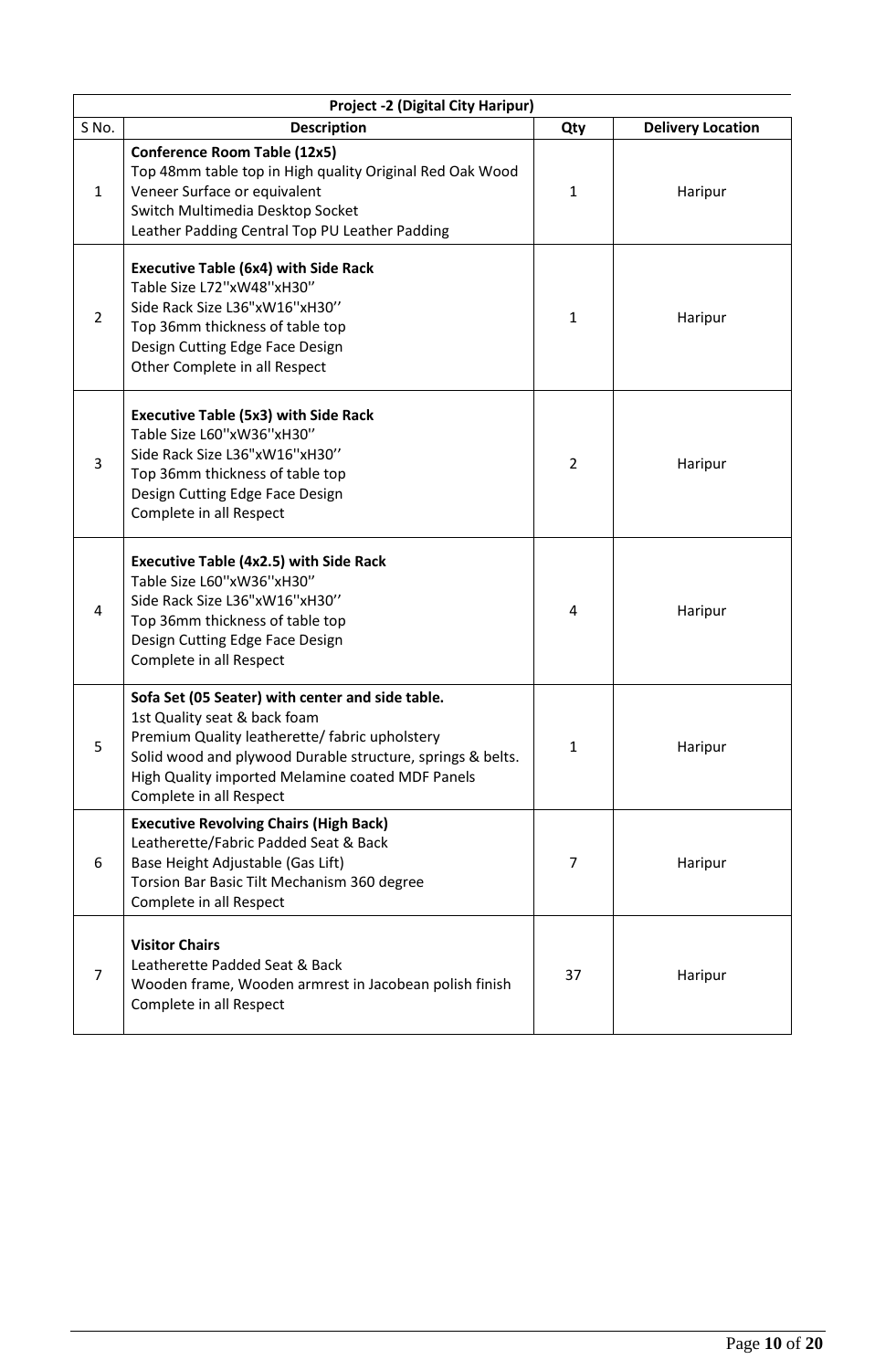| <b>Project -2 (Digital City Haripur)</b> |                                                                                                                                                                                                                                                                                 |                |                          |  |
|------------------------------------------|---------------------------------------------------------------------------------------------------------------------------------------------------------------------------------------------------------------------------------------------------------------------------------|----------------|--------------------------|--|
| S No.                                    | <b>Description</b>                                                                                                                                                                                                                                                              | Qty            | <b>Delivery Location</b> |  |
| $\mathbf{1}$                             | <b>Conference Room Table (12x5)</b><br>Top 48mm table top in High quality Original Red Oak Wood<br>Veneer Surface or equivalent<br>Switch Multimedia Desktop Socket<br>Leather Padding Central Top PU Leather Padding                                                           | $\mathbf{1}$   | Haripur                  |  |
| $\overline{2}$                           | <b>Executive Table (6x4) with Side Rack</b><br>Table Size L72"xW48"xH30"<br>Side Rack Size L36"xW16"xH30"<br>Top 36mm thickness of table top<br>Design Cutting Edge Face Design<br>Other Complete in all Respect                                                                | 1              | Haripur                  |  |
| 3                                        | <b>Executive Table (5x3) with Side Rack</b><br>Table Size L60"xW36"xH30"<br>Side Rack Size L36"xW16"xH30"<br>Top 36mm thickness of table top<br>Design Cutting Edge Face Design<br>Complete in all Respect                                                                      | $\overline{2}$ | Haripur                  |  |
| 4                                        | <b>Executive Table (4x2.5) with Side Rack</b><br>Table Size L60"xW36"xH30"<br>Side Rack Size L36"xW16"xH30"<br>Top 36mm thickness of table top<br>Design Cutting Edge Face Design<br>Complete in all Respect                                                                    | 4              | Haripur                  |  |
| 5                                        | Sofa Set (05 Seater) with center and side table.<br>1st Quality seat & back foam<br>Premium Quality leatherette/ fabric upholstery<br>Solid wood and plywood Durable structure, springs & belts.<br>High Quality imported Melamine coated MDF Panels<br>Complete in all Respect | 1              | Haripur                  |  |
| 6                                        | <b>Executive Revolving Chairs (High Back)</b><br>Leatherette/Fabric Padded Seat & Back<br>Base Height Adjustable (Gas Lift)<br>Torsion Bar Basic Tilt Mechanism 360 degree<br>Complete in all Respect                                                                           | 7              | Haripur                  |  |
| 7                                        | <b>Visitor Chairs</b><br>Leatherette Padded Seat & Back<br>Wooden frame, Wooden armrest in Jacobean polish finish<br>Complete in all Respect                                                                                                                                    | 37             | Haripur                  |  |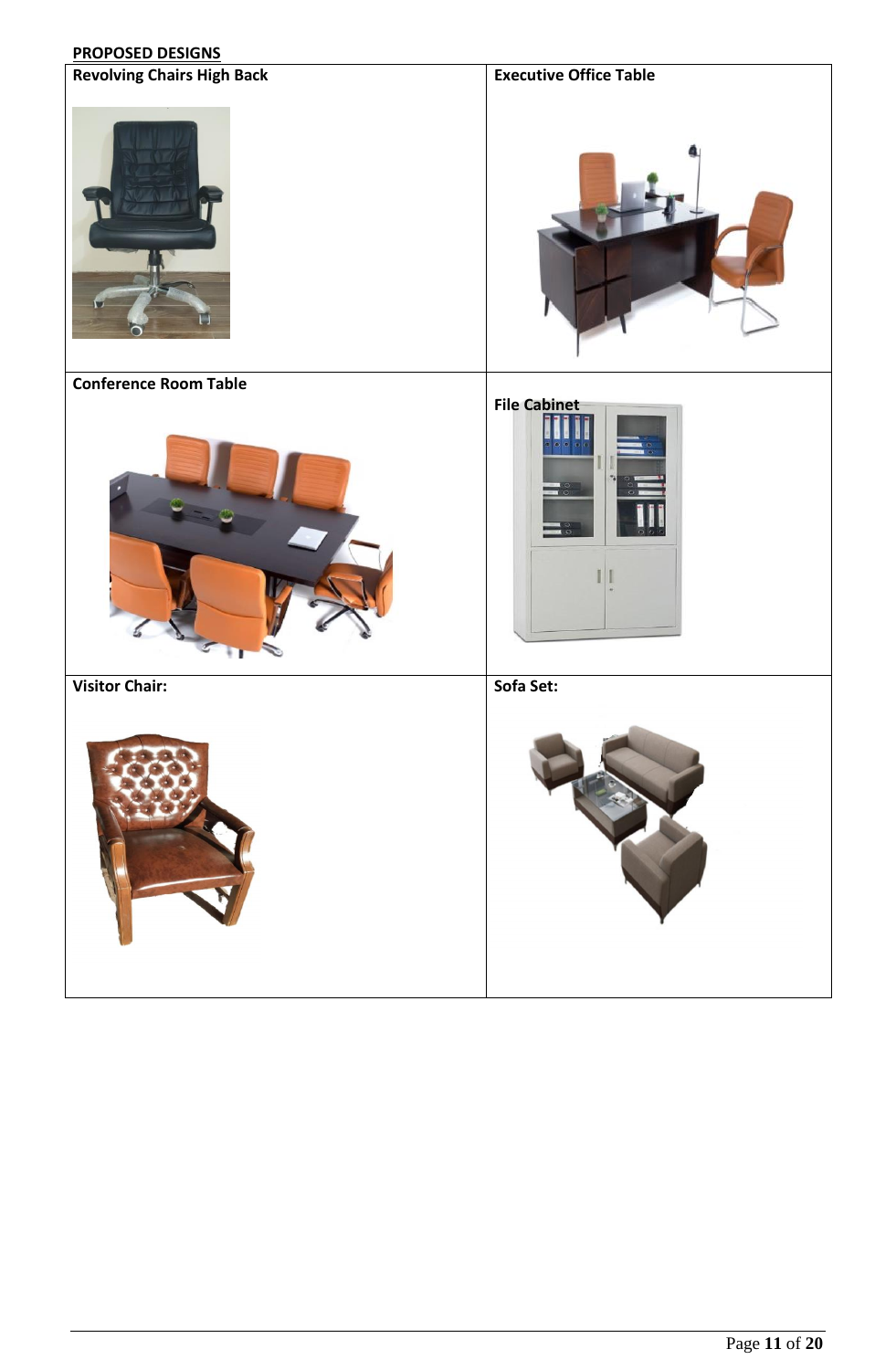# **PROPOSED DESIGNS**

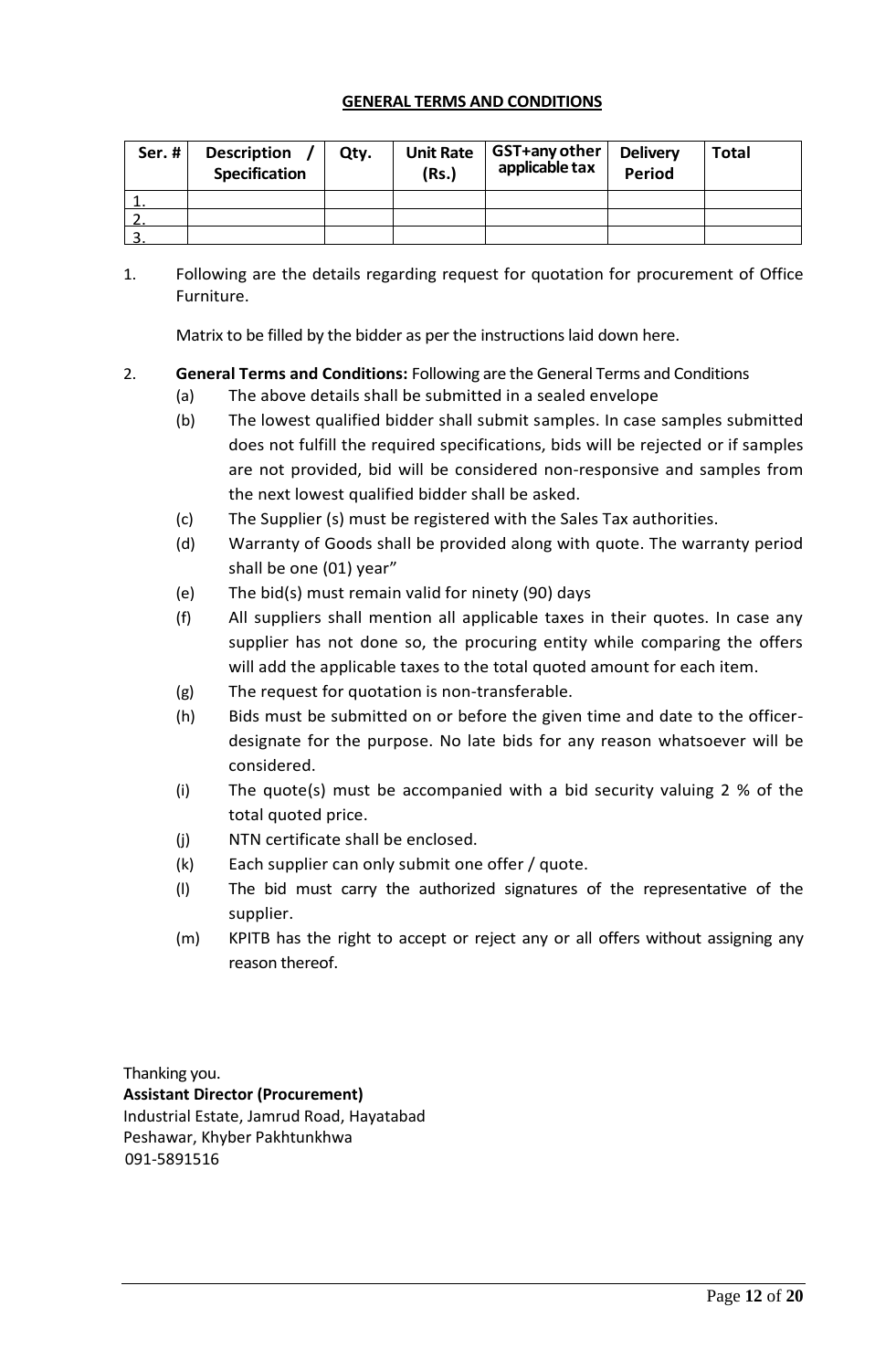#### **GENERAL TERMS AND CONDITIONS**

<span id="page-11-0"></span>

| Ser.# | <b>Description</b><br><b>Specification</b> | Qty. | <b>Unit Rate</b><br>(Rs.) | GST+any other<br>applicable tax | <b>Delivery</b><br><b>Period</b> | <b>Total</b> |
|-------|--------------------------------------------|------|---------------------------|---------------------------------|----------------------------------|--------------|
|       |                                            |      |                           |                                 |                                  |              |
|       |                                            |      |                           |                                 |                                  |              |
|       |                                            |      |                           |                                 |                                  |              |

1. Following are the details regarding request for quotation for procurement of Office Furniture.

Matrix to be filled by the bidder as per the instructions laid down here.

# 2. **General Terms and Conditions:** Following are the General Terms and Conditions

- (a) The above details shall be submitted in a sealed envelope
- (b) The lowest qualified bidder shall submit samples. In case samples submitted does not fulfill the required specifications, bids will be rejected or if samples are not provided, bid will be considered non-responsive and samples from the next lowest qualified bidder shall be asked.
- (c) The Supplier (s) must be registered with the Sales Tax authorities.
- (d) Warranty of Goods shall be provided along with quote. The warranty period shall be one (01) year"
- (e) The bid(s) must remain valid for ninety (90) days
- (f) All suppliers shall mention all applicable taxes in their quotes. In case any supplier has not done so, the procuring entity while comparing the offers will add the applicable taxes to the total quoted amount for each item.
- (g) The request for quotation is non-transferable.
- (h) Bids must be submitted on or before the given time and date to the officerdesignate for the purpose. No late bids for any reason whatsoever will be considered.
- (i) The quote(s) must be accompanied with a bid security valuing 2 % of the total quoted price.
- (j) NTN certificate shall be enclosed.
- (k) Each supplier can only submit one offer / quote.
- (l) The bid must carry the authorized signatures of the representative of the supplier.
- (m) KPITB has the right to accept or reject any or all offers without assigning any reason thereof.

Thanking you. **Assistant Director (Procurement)** Industrial Estate, Jamrud Road, Hayatabad Peshawar, Khyber Pakhtunkhwa 091-5891516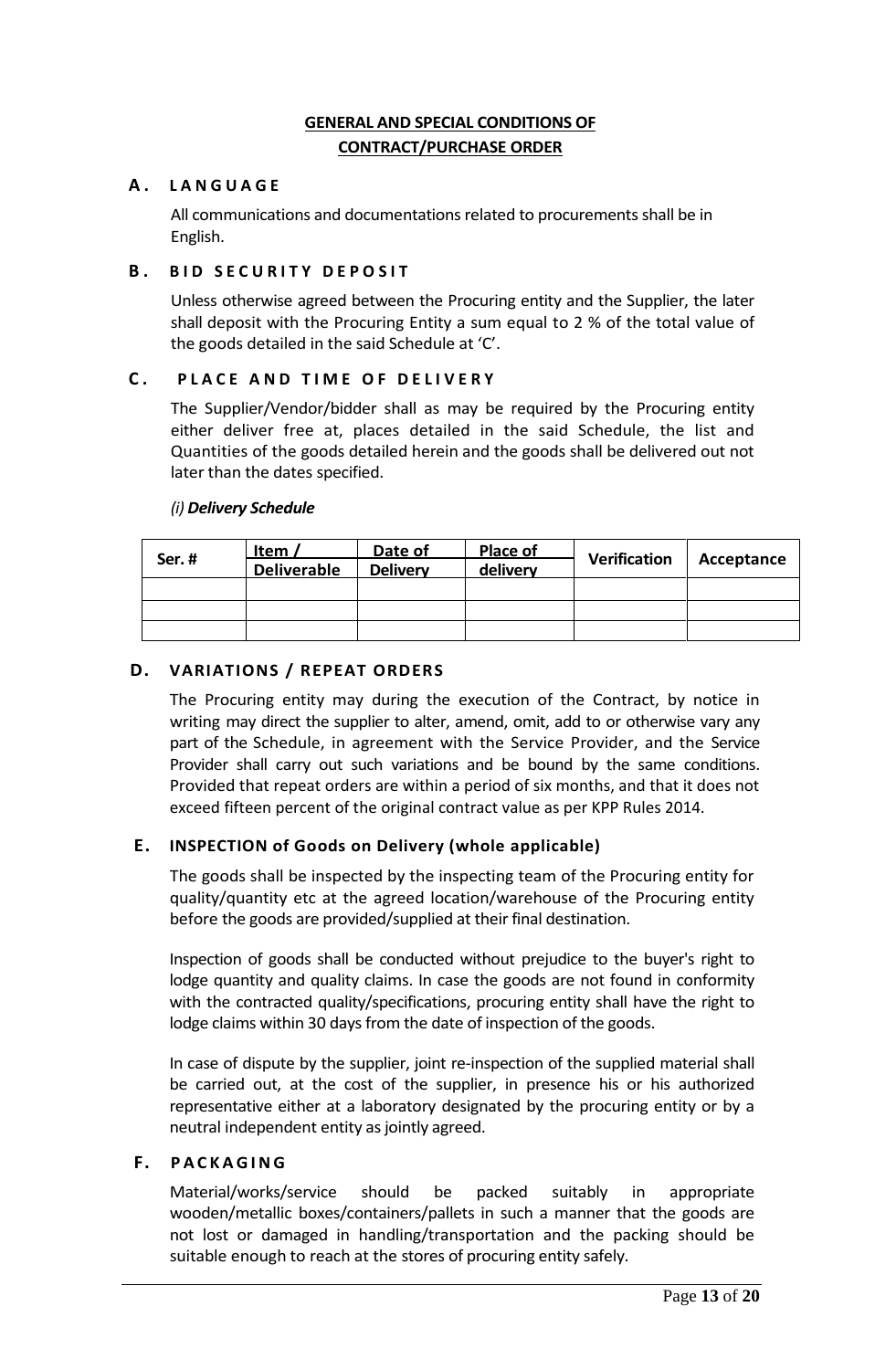# **GENERAL AND SPECIAL CONDITIONS OF CONTRACT/PURCHASE ORDER**

# <span id="page-12-0"></span>**A . L A N G U A G E**

All communications and documentations related to procurements shall be in English.

# **B. BID SECURITY DEPOSIT**

Unless otherwise agreed between the Procuring entity and the Supplier, the later shall deposit with the Procuring Entity a sum equal to 2 % of the total value of the goods detailed in the said Schedule at 'C'.

# **C . P L A C E A N D T I M E O F D E L I V E R Y**

The Supplier/Vendor/bidder shall as may be required by the Procuring entity either deliver free at, places detailed in the said Schedule, the list and Quantities of the goods detailed herein and the goods shall be delivered out not later than the dates specified.

# *(i) Delivery Schedule*

| Ser.# | Item $\lambda$     | Date of         | Place of | <b>Verification</b> | Acceptance |
|-------|--------------------|-----------------|----------|---------------------|------------|
|       | <b>Deliverable</b> | <b>Delivery</b> | delivery |                     |            |
|       |                    |                 |          |                     |            |
|       |                    |                 |          |                     |            |
|       |                    |                 |          |                     |            |

# **D. VARIATIONS / REPEAT ORDERS**

The Procuring entity may during the execution of the Contract, by notice in writing may direct the supplier to alter, amend, omit, add to or otherwise vary any part of the Schedule, in agreement with the Service Provider, and the Service Provider shall carry out such variations and be bound by the same conditions. Provided that repeat orders are within a period of six months, and that it does not exceed fifteen percent of the original contract value as per KPP Rules 2014.

# **E. INSPECTION of Goods on Delivery (whole applicable)**

The goods shall be inspected by the inspecting team of the Procuring entity for quality/quantity etc at the agreed location/warehouse of the Procuring entity before the goods are provided/supplied at their final destination.

Inspection of goods shall be conducted without prejudice to the buyer's right to lodge quantity and quality claims. In case the goods are not found in conformity with the contracted quality/specifications, procuring entity shall have the right to lodge claims within 30 days from the date of inspection of the goods.

In case of dispute by the supplier, joint re-inspection of the supplied material shall be carried out, at the cost of the supplier, in presence his or his authorized representative either at a laboratory designated by the procuring entity or by a neutral independent entity as jointly agreed.

#### **F. P A C K A G I N G**

Material/works/service should be packed suitably in appropriate wooden/metallic boxes/containers/pallets in such a manner that the goods are not lost or damaged in handling/transportation and the packing should be suitable enough to reach at the stores of procuring entity safely.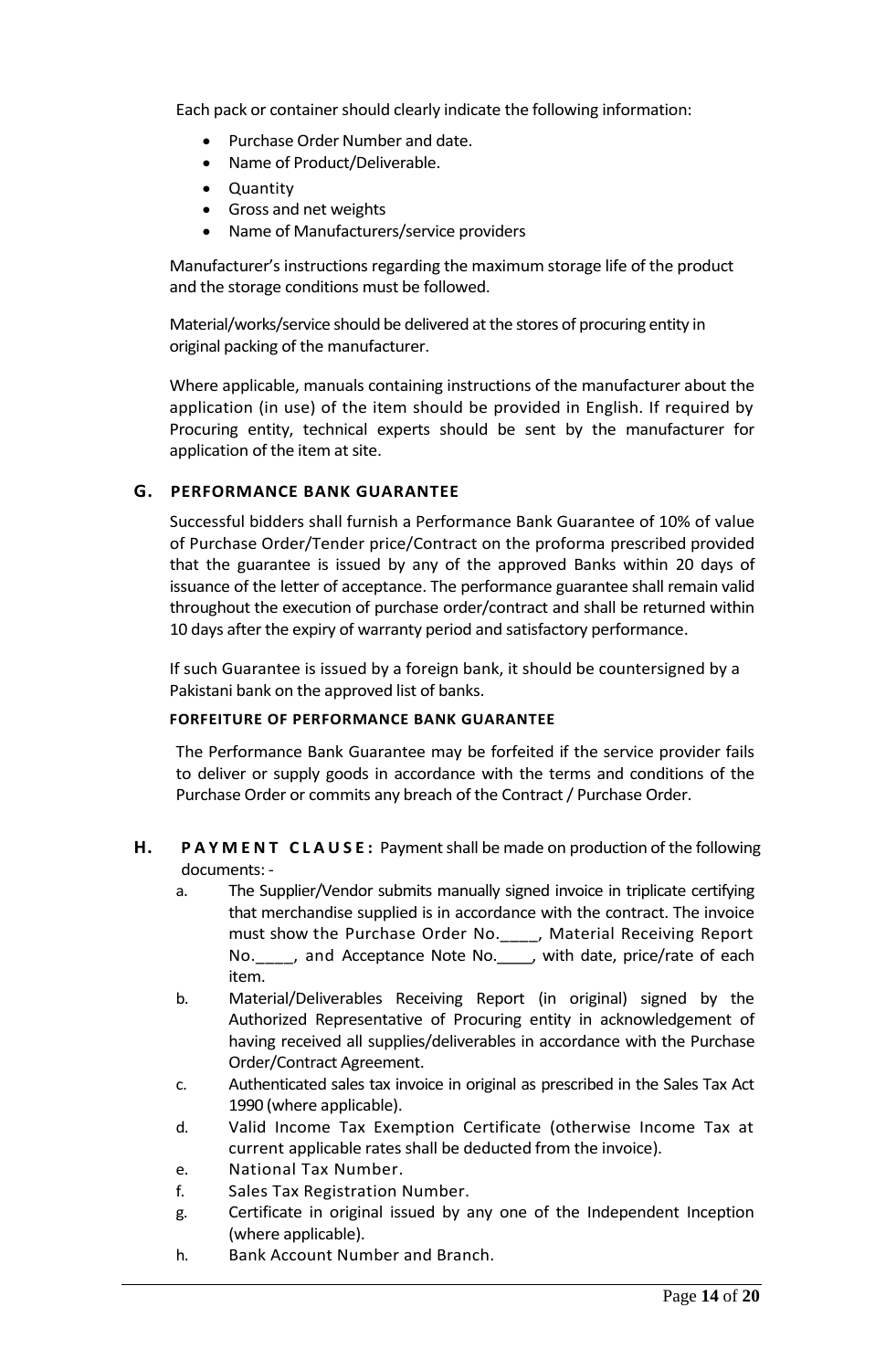Each pack or container should clearly indicate the following information:

- Purchase Order Number and date.
- Name of Product/Deliverable.
- Quantity
- Gross and net weights
- Name of Manufacturers/service providers

Manufacturer's instructions regarding the maximum storage life of the product and the storage conditions must be followed.

Material/works/service should be delivered at the stores of procuring entity in original packing of the manufacturer.

Where applicable, manuals containing instructions of the manufacturer about the application (in use) of the item should be provided in English. If required by Procuring entity, technical experts should be sent by the manufacturer for application of the item at site.

# **G. PERFORMANCE BANK GUARANTEE**

Successful bidders shall furnish a Performance Bank Guarantee of 10% of value of Purchase Order/Tender price/Contract on the proforma prescribed provided that the guarantee is issued by any of the approved Banks within 20 days of issuance of the letter of acceptance. The performance guarantee shall remain valid throughout the execution of purchase order/contract and shall be returned within 10 days after the expiry of warranty period and satisfactory performance.

If such Guarantee is issued by a foreign bank, it should be countersigned by a Pakistani bank on the approved list of banks.

# **FORFEITURE OF PERFORMANCE BANK GUARANTEE**

The Performance Bank Guarantee may be forfeited if the service provider fails to deliver or supply goods in accordance with the terms and conditions of the Purchase Order or commits any breach of the Contract / Purchase Order.

#### **H. PAYMENT CLAUSE:** Payment shall be made on production of the following documents: -

- a. The Supplier/Vendor submits manually signed invoice in triplicate certifying that merchandise supplied is in accordance with the contract. The invoice must show the Purchase Order No.\_\_\_\_, Material Receiving Report No. \_\_\_\_, and Acceptance Note No. \_\_\_, with date, price/rate of each item.
- b. Material/Deliverables Receiving Report (in original) signed by the Authorized Representative of Procuring entity in acknowledgement of having received all supplies/deliverables in accordance with the Purchase Order/Contract Agreement.
- c. Authenticated sales tax invoice in original as prescribed in the Sales Tax Act 1990 (where applicable).
- d. Valid Income Tax Exemption Certificate (otherwise Income Tax at current applicable rates shall be deducted from the invoice).
- e. National Tax Number.
- f. Sales Tax Registration Number.
- g. Certificate in original issued by any one of the Independent Inception (where applicable).
- h. Bank Account Number and Branch.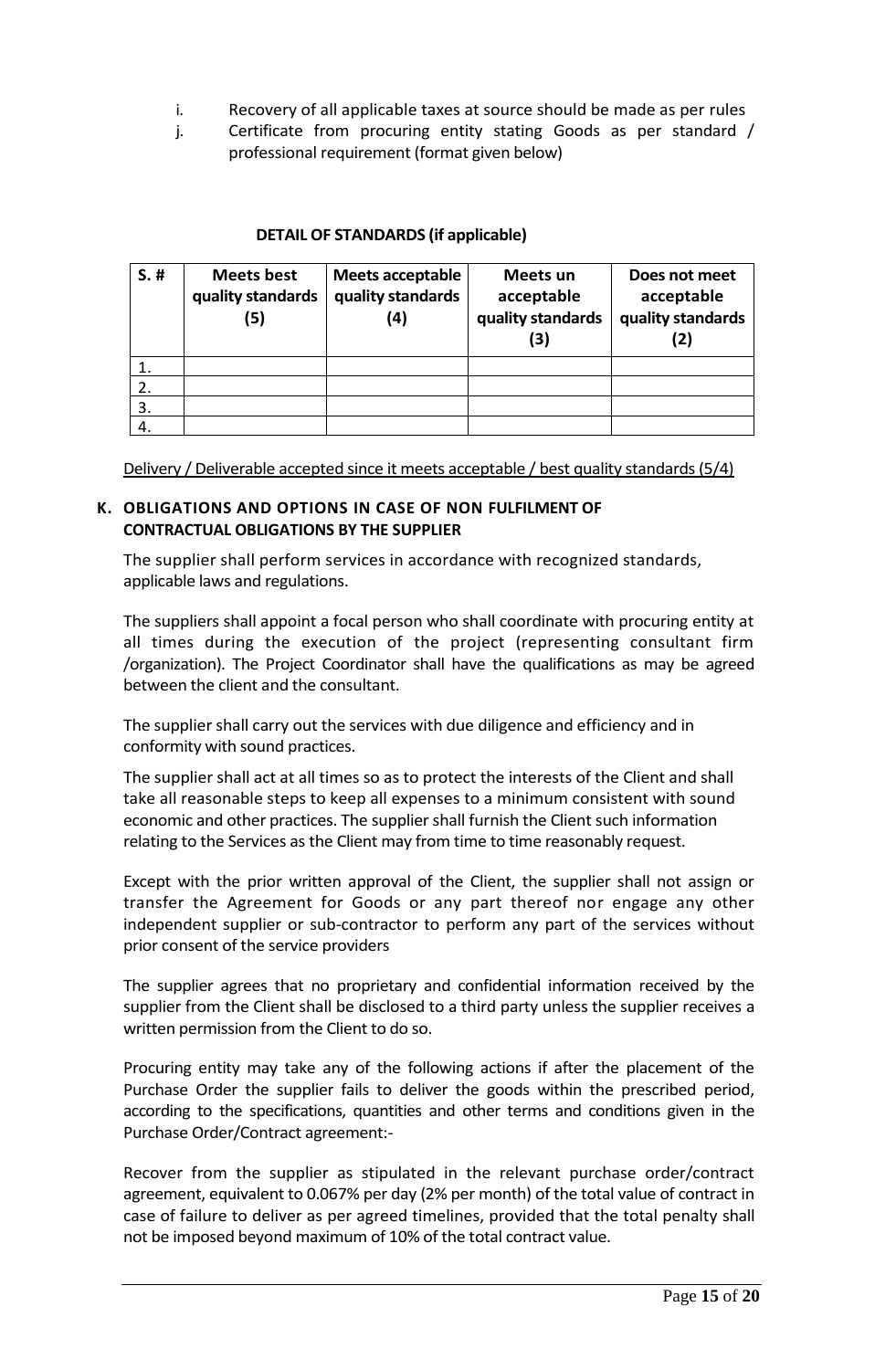- i. Recovery of all applicable taxes at source should be made as per rules
- j. Certificate from procuring entity stating Goods as per standard / professional requirement (format given below)

# **DETAIL OF STANDARDS (if applicable)**

| $S.$ # | <b>Meets best</b><br>quality standards<br>(5) | <b>Meets acceptable</b><br>quality standards<br>(4) | Meets un<br>acceptable<br>quality standards<br>(3) | Does not meet<br>acceptable<br>quality standards<br>(2) |
|--------|-----------------------------------------------|-----------------------------------------------------|----------------------------------------------------|---------------------------------------------------------|
|        |                                               |                                                     |                                                    |                                                         |
|        |                                               |                                                     |                                                    |                                                         |
| 3.     |                                               |                                                     |                                                    |                                                         |
|        |                                               |                                                     |                                                    |                                                         |

Delivery / Deliverable accepted since it meets acceptable / best quality standards (5/4)

#### **K. OBLIGATIONS AND OPTIONS IN CASE OF NON FULFILMENT OF CONTRACTUAL OBLIGATIONS BY THE SUPPLIER**

The supplier shall perform services in accordance with recognized standards, applicable laws and regulations.

The suppliers shall appoint a focal person who shall coordinate with procuring entity at all times during the execution of the project (representing consultant firm /organization). The Project Coordinator shall have the qualifications as may be agreed between the client and the consultant.

The supplier shall carry out the services with due diligence and efficiency and in conformity with sound practices.

The supplier shall act at all times so as to protect the interests of the Client and shall take all reasonable steps to keep all expenses to a minimum consistent with sound economic and other practices. The supplier shall furnish the Client such information relating to the Services as the Client may from time to time reasonably request.

Except with the prior written approval of the Client, the supplier shall not assign or transfer the Agreement for Goods or any part thereof nor engage any other independent supplier or sub-contractor to perform any part of the services without prior consent of the service providers

The supplier agrees that no proprietary and confidential information received by the supplier from the Client shall be disclosed to a third party unless the supplier receives a written permission from the Client to do so.

Procuring entity may take any of the following actions if after the placement of the Purchase Order the supplier fails to deliver the goods within the prescribed period, according to the specifications, quantities and other terms and conditions given in the Purchase Order/Contract agreement:-

Recover from the supplier as stipulated in the relevant purchase order/contract agreement, equivalent to 0.067% per day (2% per month) of the total value of contract in case of failure to deliver as per agreed timelines, provided that the total penalty shall not be imposed beyond maximum of 10% of the total contract value.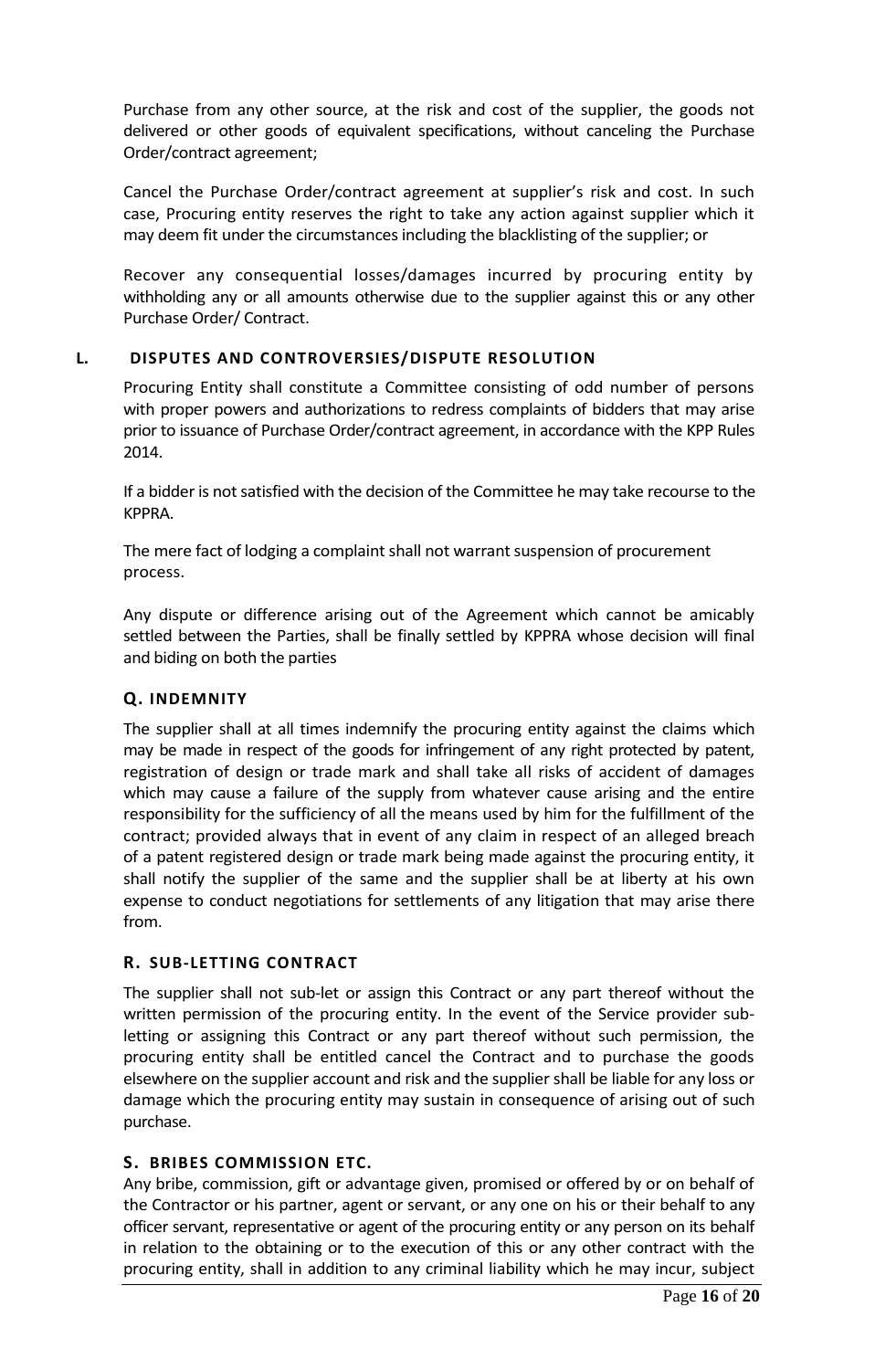Purchase from any other source, at the risk and cost of the supplier, the goods not delivered or other goods of equivalent specifications, without canceling the Purchase Order/contract agreement;

Cancel the Purchase Order/contract agreement at supplier's risk and cost. In such case, Procuring entity reserves the right to take any action against supplier which it may deem fit under the circumstances including the blacklisting of the supplier; or

Recover any consequential losses/damages incurred by procuring entity by withholding any or all amounts otherwise due to the supplier against this or any other Purchase Order/ Contract.

# **L. DISPUTES AND CONTROVERSIES/DISPUTE RESOLUTION**

Procuring Entity shall constitute a Committee consisting of odd number of persons with proper powers and authorizations to redress complaints of bidders that may arise prior to issuance of Purchase Order/contract agreement, in accordance with the KPP Rules 2014.

If a bidder is not satisfied with the decision of the Committee he may take recourse to the KPPRA.

The mere fact of lodging a complaint shall not warrant suspension of procurement process.

Any dispute or difference arising out of the Agreement which cannot be amicably settled between the Parties, shall be finally settled by KPPRA whose decision will final and biding on both the parties

# **Q. INDEMNITY**

The supplier shall at all times indemnify the procuring entity against the claims which may be made in respect of the goods for infringement of any right protected by patent, registration of design or trade mark and shall take all risks of accident of damages which may cause a failure of the supply from whatever cause arising and the entire responsibility for the sufficiency of all the means used by him for the fulfillment of the contract; provided always that in event of any claim in respect of an alleged breach of a patent registered design or trade mark being made against the procuring entity, it shall notify the supplier of the same and the supplier shall be at liberty at his own expense to conduct negotiations for settlements of any litigation that may arise there from.

#### **R. SUB-LETTING CONTRACT**

The supplier shall not sub-let or assign this Contract or any part thereof without the written permission of the procuring entity. In the event of the Service provider subletting or assigning this Contract or any part thereof without such permission, the procuring entity shall be entitled cancel the Contract and to purchase the goods elsewhere on the supplier account and risk and the supplier shall be liable for any loss or damage which the procuring entity may sustain in consequence of arising out of such purchase.

#### **S. BRIBES COMMISSION ETC.**

Any bribe, commission, gift or advantage given, promised or offered by or on behalf of the Contractor or his partner, agent or servant, or any one on his or their behalf to any officer servant, representative or agent of the procuring entity or any person on its behalf in relation to the obtaining or to the execution of this or any other contract with the procuring entity, shall in addition to any criminal liability which he may incur, subject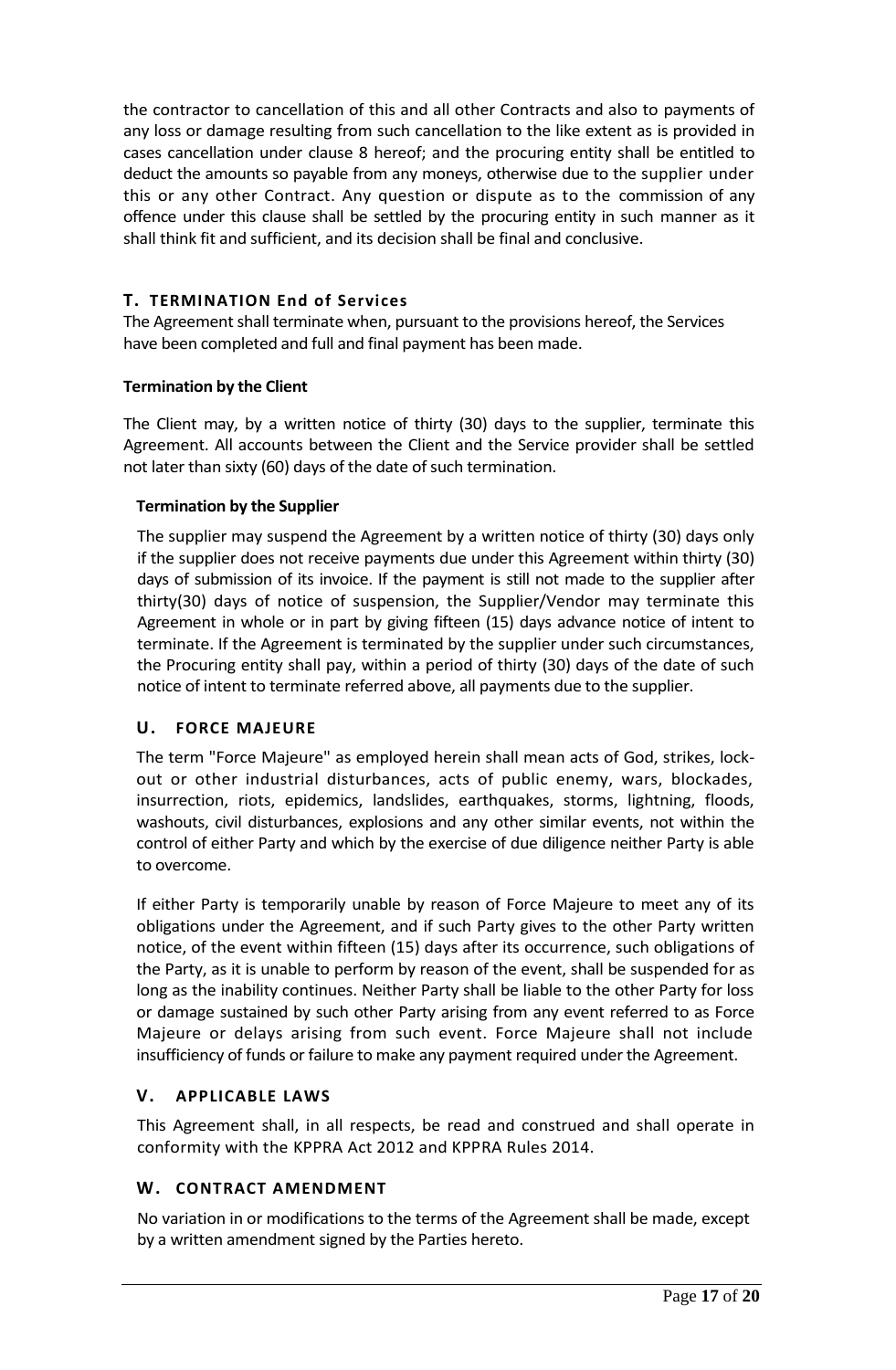the contractor to cancellation of this and all other Contracts and also to payments of any loss or damage resulting from such cancellation to the like extent as is provided in cases cancellation under clause 8 hereof; and the procuring entity shall be entitled to deduct the amounts so payable from any moneys, otherwise due to the supplier under this or any other Contract. Any question or dispute as to the commission of any offence under this clause shall be settled by the procuring entity in such manner as it shall think fit and sufficient, and its decision shall be final and conclusive.

# **T. TERMINATION End of Services**

The Agreement shall terminate when, pursuant to the provisions hereof, the Services have been completed and full and final payment has been made.

# **Termination by the Client**

The Client may, by a written notice of thirty (30) days to the supplier, terminate this Agreement. All accounts between the Client and the Service provider shall be settled not later than sixty (60) days of the date of such termination.

# **Termination by the Supplier**

The supplier may suspend the Agreement by a written notice of thirty (30) days only if the supplier does not receive payments due under this Agreement within thirty (30) days of submission of its invoice. If the payment is still not made to the supplier after thirty(30) days of notice of suspension, the Supplier/Vendor may terminate this Agreement in whole or in part by giving fifteen (15) days advance notice of intent to terminate. If the Agreement is terminated by the supplier under such circumstances, the Procuring entity shall pay, within a period of thirty (30) days of the date of such notice of intent to terminate referred above, all payments due to the supplier.

# **U. FORCE MAJEURE**

The term "Force Majeure" as employed herein shall mean acts of God, strikes, lockout or other industrial disturbances, acts of public enemy, wars, blockades, insurrection, riots, epidemics, landslides, earthquakes, storms, lightning, floods, washouts, civil disturbances, explosions and any other similar events, not within the control of either Party and which by the exercise of due diligence neither Party is able to overcome.

If either Party is temporarily unable by reason of Force Majeure to meet any of its obligations under the Agreement, and if such Party gives to the other Party written notice, of the event within fifteen (15) days after its occurrence, such obligations of the Party, as it is unable to perform by reason of the event, shall be suspended for as long as the inability continues. Neither Party shall be liable to the other Party for loss or damage sustained by such other Party arising from any event referred to as Force Majeure or delays arising from such event. Force Majeure shall not include insufficiency of funds or failure to make any payment required under the Agreement.

# **V. APPLICABLE LAWS**

This Agreement shall, in all respects, be read and construed and shall operate in conformity with the KPPRA Act 2012 and KPPRA Rules 2014.

# **W. CONTRACT AMENDMENT**

No variation in or modifications to the terms of the Agreement shall be made, except by a written amendment signed by the Parties hereto.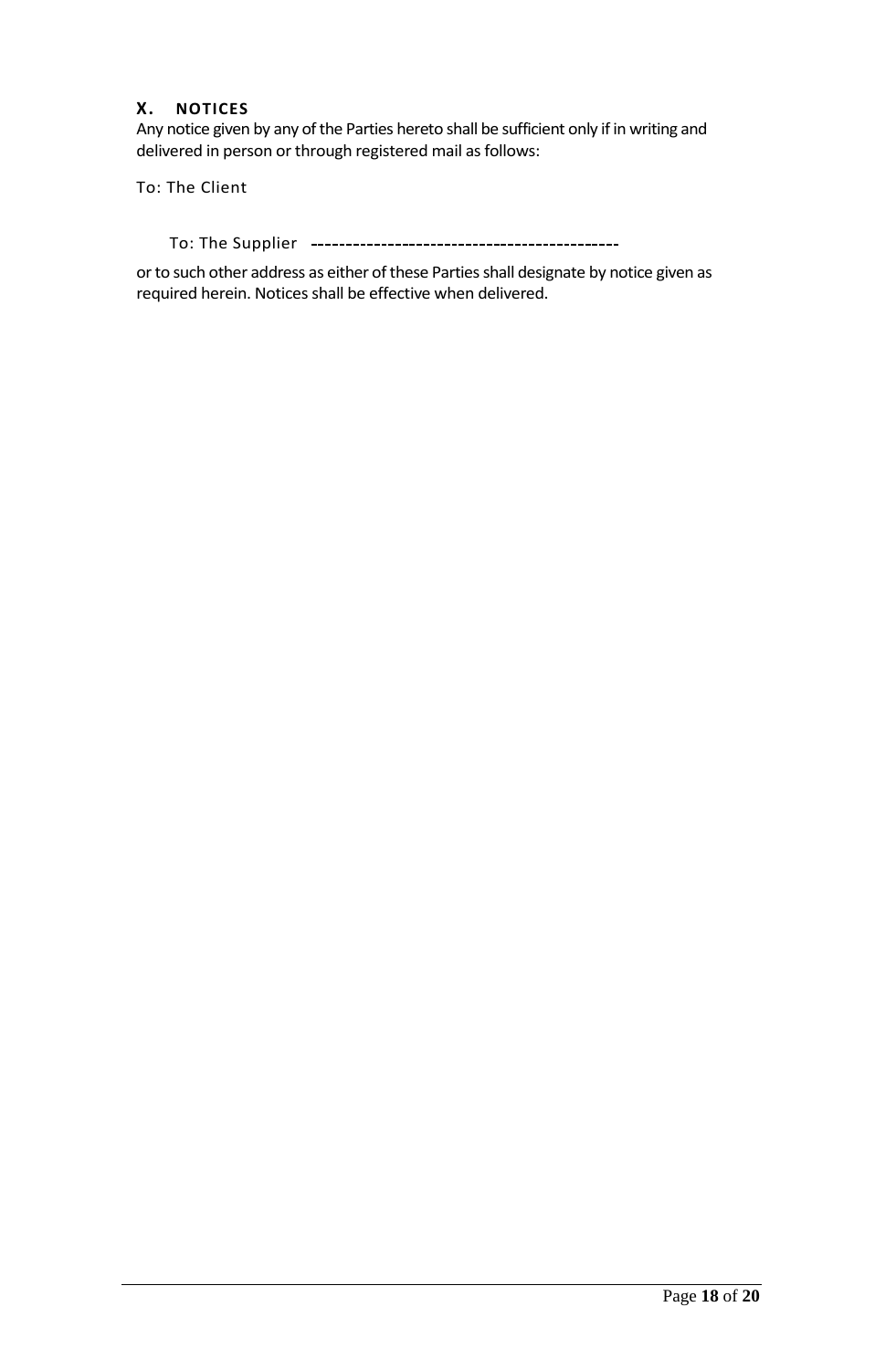# **X. NOTICES**

Any notice given by any of the Parties hereto shall be sufficient only if in writing and delivered in person or through registered mail as follows:

To: The Client

To: The Supplier

or to such other address as either of these Parties shall designate by notice given as required herein. Notices shall be effective when delivered.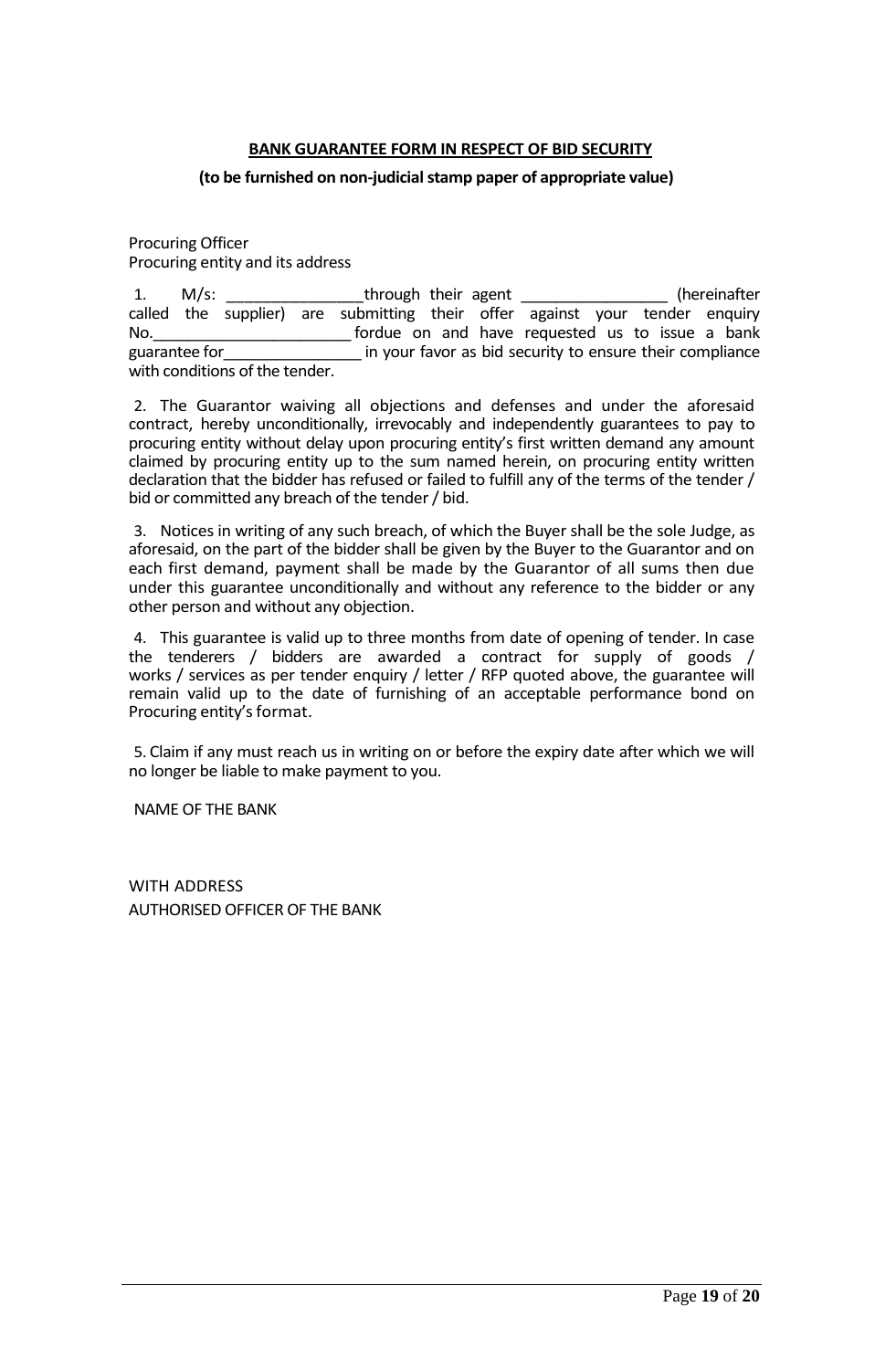#### **BANK GUARANTEE FORM IN RESPECT OF BID SECURITY**

#### <span id="page-18-0"></span>**(to be furnished on non-judicial stamp paper of appropriate value)**

Procuring Officer Procuring entity and its address

1. M/s: through their agent the second their and the second the second the second the second the second the second the second term in the second term in the second term in the second term in the second term in the second t called the supplier) are submitting their offer against your tender enquiry No. The same of the same of the requested us to issue a bank guarantee for entitled in your favor as bid security to ensure their compliance with conditions of the tender.

2. The Guarantor waiving all objections and defenses and under the aforesaid contract, hereby unconditionally, irrevocably and independently guarantees to pay to procuring entity without delay upon procuring entity's first written demand any amount claimed by procuring entity up to the sum named herein, on procuring entity written declaration that the bidder has refused or failed to fulfill any of the terms of the tender / bid or committed any breach of the tender / bid.

3. Notices in writing of any such breach, of which the Buyer shall be the sole Judge, as aforesaid, on the part of the bidder shall be given by the Buyer to the Guarantor and on each first demand, payment shall be made by the Guarantor of all sums then due under this guarantee unconditionally and without any reference to the bidder or any other person and without any objection.

4. This guarantee is valid up to three months from date of opening of tender. In case the tenderers / bidders are awarded a contract for supply of goods / works / services as per tender enquiry / letter / RFP quoted above, the guarantee will remain valid up to the date of furnishing of an acceptable performance bond on Procuring entity's format.

5. Claim if any must reach us in writing on or before the expiry date after which we will no longer be liable to make payment to you.

NAME OF THE BANK

WITH ADDRESS AUTHORISED OFFICER OF THE BANK